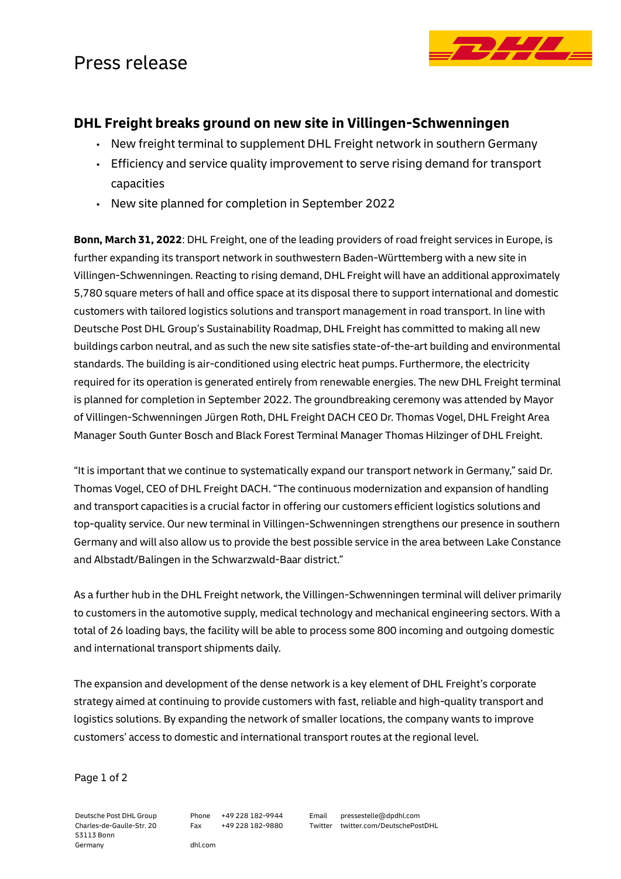## Press release



### **DHL Freight breaks ground on new site in Villingen-Schwenningen**

- New freight terminal to supplement DHL Freight network in southern Germany
- Efficiency and service quality improvement to serve rising demand for transport capacities
- New site planned for completion in September 2022

**Bonn, March 31, 2022**: DHL Freight, one of the leading providers of road freight services in Europe, is further expanding its transport network in southwestern Baden-Württemberg with a new site in Villingen-Schwenningen. Reacting to rising demand, DHL Freight will have an additional approximately 5,780 square meters of hall and office space at its disposal there to support international and domestic customers with tailored logistics solutions and transport management in road transport. In line with Deutsche Post DHL Group's Sustainability Roadmap, DHL Freight has committed to making all new buildings carbon neutral, and as such the new site satisfies state-of-the-art building and environmental standards. The building is air-conditioned using electric heat pumps. Furthermore, the electricity required for its operation is generated entirely from renewable energies. The new DHL Freight terminal is planned for completion in September 2022. The groundbreaking ceremony was attended by Mayor of Villingen-Schwenningen Jürgen Roth, DHL Freight DACH CEO Dr. Thomas Vogel, DHL Freight Area Manager South Gunter Bosch and Black Forest Terminal Manager Thomas Hilzinger of DHL Freight.

"It is important that we continue to systematically expand our transport network in Germany," said Dr. Thomas Vogel, CEO of DHL Freight DACH. "The continuous modernization and expansion of handling and transport capacities is a crucial factor in offering our customers efficient logistics solutions and top-quality service. Our new terminal in Villingen-Schwenningen strengthens our presence in southern Germany and will also allow us to provide the best possible service in the area between Lake Constance and Albstadt/Balingen in the Schwarzwald-Baar district."

As a further hub in the DHL Freight network, the Villingen-Schwenningen terminal will deliver primarily to customers in the automotive supply, medical technology and mechanical engineering sectors. With a total of 26 loading bays, the facility will be able to process some 800 incoming and outgoing domestic and international transport shipments daily.

The expansion and development of the dense network is a key element of DHL Freight's corporate strategy aimed at continuing to provide customers with fast, reliable and high-quality transport and logistics solutions. By expanding the network of smaller locations, the company wants to improve customers' access to domestic and international transport routes at the regional level.

Page 1 of 2

Deutsche Post DHL Group Charles-de-Gaulle-Str. 20 53113 Bonn Germany

Phone +49 228 182-9944 Fax +49 228 182-9880 Email pressestelle@dpdhl.com Twitter twitter.com/DeutschePostDHL

dhl.com